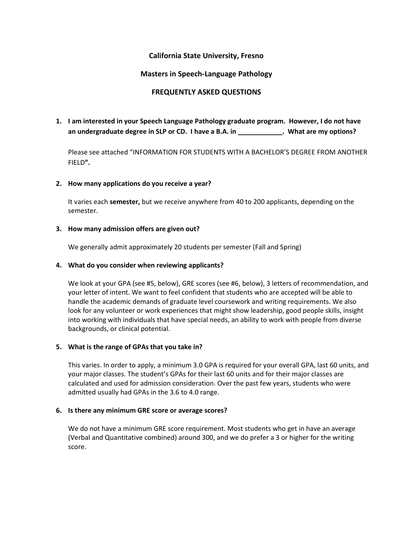# **California State University, Fresno**

# **Masters in Speech-Language Pathology**

# **FREQUENTLY ASKED QUESTIONS**

**1. I am interested in your Speech Language Pathology graduate program. However, I do not have an undergraduate degree in SLP or CD. I have a B.A. in \_\_\_\_\_\_\_\_\_\_\_\_. What are my options?** 

Please see attached "INFORMATION FOR STUDENTS WITH A BACHELOR'S DEGREE FROM ANOTHER FIELD**".** 

## **2. How many applications do you receive a year?**

It varies each **semester,** but we receive anywhere from 40 to 200 applicants, depending on the semester.

#### **3. How many admission offers are given out?**

We generally admit approximately 20 students per semester (Fall and Spring)

## **4. What do you consider when reviewing applicants?**

We look at your GPA (see #5, below), GRE scores (see #6, below), 3 letters of recommendation, and your letter of intent. We want to feel confident that students who are accepted will be able to handle the academic demands of graduate level coursework and writing requirements. We also look for any volunteer or work experiences that might show leadership, good people skills, insight into working with individuals that have special needs, an ability to work with people from diverse backgrounds, or clinical potential.

#### **5. What is the range of GPAs that you take in?**

This varies. In order to apply, a minimum 3.0 GPA is required for your overall GPA, last 60 units, and your major classes. The student's GPAs for their last 60 units and for their major classes are calculated and used for admission consideration. Over the past few years, students who were admitted usually had GPAs in the 3.6 to 4.0 range.

#### **6. Is there any minimum GRE score or average scores?**

We do not have a minimum GRE score requirement. Most students who get in have an average (Verbal and Quantitative combined) around 300, and we do prefer a 3 or higher for the writing score.